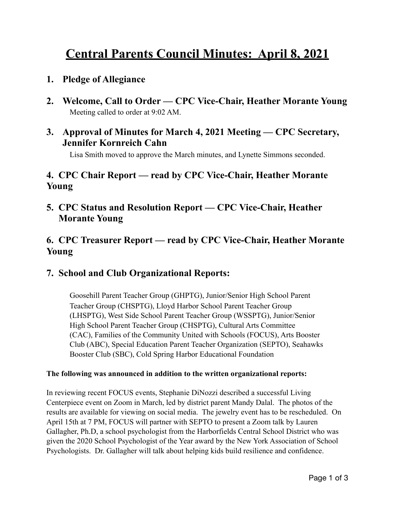# **Central Parents Council Minutes: April 8, 2021**

#### **1. Pledge of Allegiance**

- **2. Welcome, Call to Order CPC Vice-Chair, Heather Morante Young**  Meeting called to order at 9:02 AM.
- **3. Approval of Minutes for March 4, 2021 Meeting CPC Secretary, Jennifer Kornreich Cahn**

Lisa Smith moved to approve the March minutes, and Lynette Simmons seconded.

### **4. CPC Chair Report — read by CPC Vice-Chair, Heather Morante Young**

**5. CPC Status and Resolution Report — CPC Vice-Chair, Heather Morante Young** 

### **6. CPC Treasurer Report — read by CPC Vice-Chair, Heather Morante Young**

#### **7. School and Club Organizational Reports:**

Goosehill Parent Teacher Group (GHPTG), Junior/Senior High School Parent Teacher Group (CHSPTG), Lloyd Harbor School Parent Teacher Group (LHSPTG), West Side School Parent Teacher Group (WSSPTG), Junior/Senior High School Parent Teacher Group (CHSPTG), Cultural Arts Committee (CAC), Families of the Community United with Schools (FOCUS), Arts Booster Club (ABC), Special Education Parent Teacher Organization (SEPTO), Seahawks Booster Club (SBC), Cold Spring Harbor Educational Foundation

#### **The following was announced in addition to the written organizational reports:**

In reviewing recent FOCUS events, Stephanie DiNozzi described a successful Living Centerpiece event on Zoom in March, led by district parent Mandy Dalal. The photos of the results are available for viewing on social media. The jewelry event has to be rescheduled. On April 15th at 7 PM, FOCUS will partner with SEPTO to present a Zoom talk by Lauren Gallagher, Ph.D, a school psychologist from the Harborfields Central School District who was given the 2020 School Psychologist of the Year award by the New York Association of School Psychologists. Dr. Gallagher will talk about helping kids build resilience and confidence.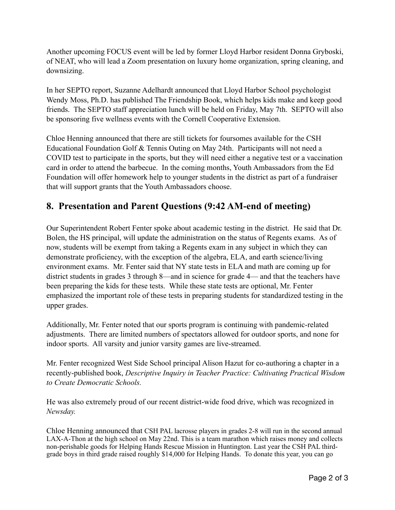Another upcoming FOCUS event will be led by former Lloyd Harbor resident Donna Gryboski, of NEAT, who will lead a Zoom presentation on luxury home organization, spring cleaning, and downsizing.

In her SEPTO report, Suzanne Adelhardt announced that Lloyd Harbor School psychologist Wendy Moss, Ph.D. has published The Friendship Book, which helps kids make and keep good friends. The SEPTO staff appreciation lunch will be held on Friday, May 7th. SEPTO will also be sponsoring five wellness events with the Cornell Cooperative Extension.

Chloe Henning announced that there are still tickets for foursomes available for the CSH Educational Foundation Golf & Tennis Outing on May 24th. Participants will not need a COVID test to participate in the sports, but they will need either a negative test or a vaccination card in order to attend the barbecue. In the coming months, Youth Ambassadors from the Ed Foundation will offer homework help to younger students in the district as part of a fundraiser that will support grants that the Youth Ambassadors choose.

#### **8. Presentation and Parent Questions (9:42 AM-end of meeting)**

Our Superintendent Robert Fenter spoke about academic testing in the district. He said that Dr. Bolen, the HS principal, will update the administration on the status of Regents exams. As of now, students will be exempt from taking a Regents exam in any subject in which they can demonstrate proficiency, with the exception of the algebra, ELA, and earth science/living environment exams. Mr. Fenter said that NY state tests in ELA and math are coming up for district students in grades 3 through 8—and in science for grade 4— and that the teachers have been preparing the kids for these tests. While these state tests are optional, Mr. Fenter emphasized the important role of these tests in preparing students for standardized testing in the upper grades.

Additionally, Mr. Fenter noted that our sports program is continuing with pandemic-related adjustments. There are limited numbers of spectators allowed for outdoor sports, and none for indoor sports. All varsity and junior varsity games are live-streamed.

Mr. Fenter recognized West Side School principal Alison Hazut for co-authoring a chapter in a recently-published book, *Descriptive Inquiry in Teacher Practice: Cultivating Practical Wisdom to Create Democratic Schools.*

He was also extremely proud of our recent district-wide food drive, which was recognized in *Newsday.* 

Chloe Henning announced that CSH PAL lacrosse players in grades 2-8 will run in the second annual LAX-A-Thon at the high school on May 22nd. This is a team marathon which raises money and collects non-perishable goods for Helping Hands Rescue Mission in Huntington. Last year the CSH PAL thirdgrade boys in third grade raised roughly \$14,000 for Helping Hands. To donate this year, you can go